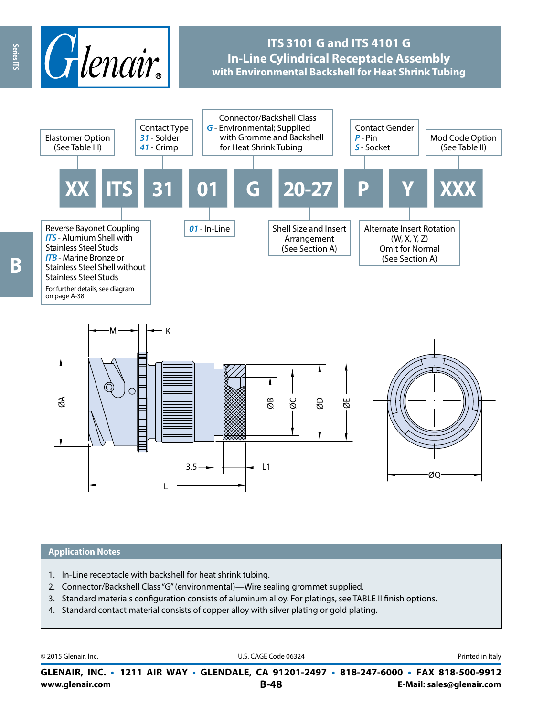

# **ITS 3101 G and ITS 4101 G In-Line Cylindrical Receptacle Assembly with Environmental Backshell for Heat Shrink Tubing**



#### **Application Notes**

1. In-Line receptacle with backshell for heat shrink tubing.

L

- 2. Connector/Backshell Class "G" (environmental)—Wire sealing grommet supplied.
- 3. Standard materials configuration consists of aluminum alloy. For platings, see TABLE II finish options.

 $3.5 - + + - - - 11$ 

4. Standard contact material consists of copper alloy with silver plating or gold plating.

© 2015 Glenair, Inc. **Discription Construction Construction Construction Construction Construction Construction Construction Construction Construction Construction Construction Construction Construction Construction Constr** 

ØQ

**www.glenair.com B-48 E-Mail: sales@glenair.com GLENAIR, INC. • 1211 AIR WAY • GLENDALE, CA 91201-2497 • 818-247-6000 • FAX 818-500-9912**

Series ITS